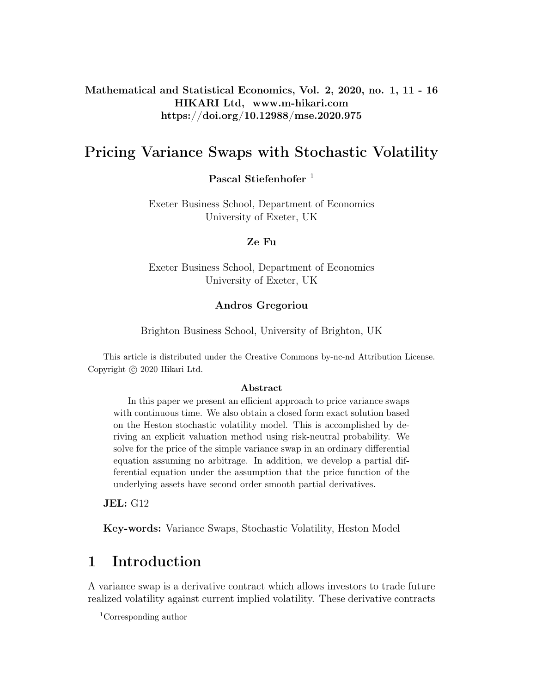Mathematical and Statistical Economics, Vol. 2, 2020, no. 1, 11 - 16 HIKARI Ltd, www.m-hikari.com https://doi.org/10.12988/mse.2020.975

## Pricing Variance Swaps with Stochastic Volatility

Pascal Stiefenhofer<sup>1</sup>

Exeter Business School, Department of Economics University of Exeter, UK

### Ze Fu

Exeter Business School, Department of Economics University of Exeter, UK

### Andros Gregoriou

Brighton Business School, University of Brighton, UK

This article is distributed under the Creative Commons by-nc-nd Attribution License. Copyright (c) 2020 Hikari Ltd.

#### Abstract

In this paper we present an efficient approach to price variance swaps with continuous time. We also obtain a closed form exact solution based on the Heston stochastic volatility model. This is accomplished by deriving an explicit valuation method using risk-neutral probability. We solve for the price of the simple variance swap in an ordinary differential equation assuming no arbitrage. In addition, we develop a partial differential equation under the assumption that the price function of the underlying assets have second order smooth partial derivatives.

JEL: G12

Key-words: Variance Swaps, Stochastic Volatility, Heston Model

# 1 Introduction

A variance swap is a derivative contract which allows investors to trade future realized volatility against current implied volatility. These derivative contracts

<sup>1</sup>Corresponding author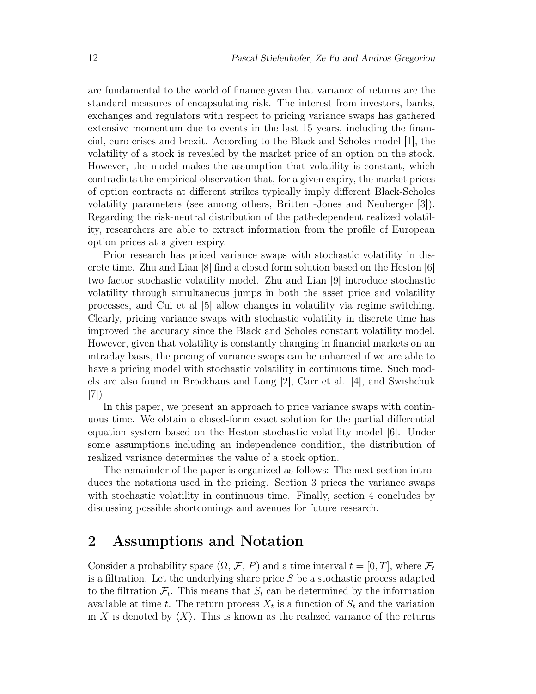are fundamental to the world of finance given that variance of returns are the standard measures of encapsulating risk. The interest from investors, banks, exchanges and regulators with respect to pricing variance swaps has gathered extensive momentum due to events in the last 15 years, including the financial, euro crises and brexit. According to the Black and Scholes model [1], the volatility of a stock is revealed by the market price of an option on the stock. However, the model makes the assumption that volatility is constant, which contradicts the empirical observation that, for a given expiry, the market prices of option contracts at different strikes typically imply different Black-Scholes volatility parameters (see among others, Britten -Jones and Neuberger [3]). Regarding the risk-neutral distribution of the path-dependent realized volatility, researchers are able to extract information from the profile of European option prices at a given expiry.

Prior research has priced variance swaps with stochastic volatility in discrete time. Zhu and Lian [8] find a closed form solution based on the Heston [6] two factor stochastic volatility model. Zhu and Lian [9] introduce stochastic volatility through simultaneous jumps in both the asset price and volatility processes, and Cui et al [5] allow changes in volatility via regime switching. Clearly, pricing variance swaps with stochastic volatility in discrete time has improved the accuracy since the Black and Scholes constant volatility model. However, given that volatility is constantly changing in financial markets on an intraday basis, the pricing of variance swaps can be enhanced if we are able to have a pricing model with stochastic volatility in continuous time. Such models are also found in Brockhaus and Long [2], Carr et al. [4], and Swishchuk [7]).

In this paper, we present an approach to price variance swaps with continuous time. We obtain a closed-form exact solution for the partial differential equation system based on the Heston stochastic volatility model [6]. Under some assumptions including an independence condition, the distribution of realized variance determines the value of a stock option.

The remainder of the paper is organized as follows: The next section introduces the notations used in the pricing. Section 3 prices the variance swaps with stochastic volatility in continuous time. Finally, section 4 concludes by discussing possible shortcomings and avenues for future research.

## 2 Assumptions and Notation

Consider a probability space  $(\Omega, \mathcal{F}, P)$  and a time interval  $t = [0, T]$ , where  $\mathcal{F}_t$ is a filtration. Let the underlying share price  $S$  be a stochastic process adapted to the filtration  $\mathcal{F}_t$ . This means that  $S_t$  can be determined by the information available at time t. The return process  $X_t$  is a function of  $S_t$  and the variation in X is denoted by  $\langle X \rangle$ . This is known as the realized variance of the returns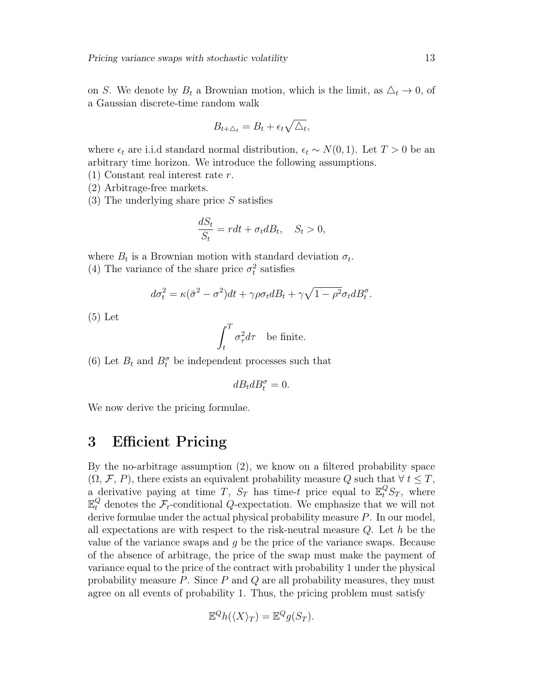on S. We denote by  $B_t$  a Brownian motion, which is the limit, as  $\Delta_t \to 0$ , of a Gaussian discrete-time random walk

$$
B_{t+\Delta_t} = B_t + \epsilon_t \sqrt{\Delta_t},
$$

where  $\epsilon_t$  are i.i.d standard normal distribution,  $\epsilon_t \sim N(0, 1)$ . Let  $T > 0$  be an arbitrary time horizon. We introduce the following assumptions.

- (1) Constant real interest rate r.
- (2) Arbitrage-free markets.
- $(3)$  The underlying share price S satisfies

$$
\frac{dS_t}{S_t} = rdt + \sigma_t dB_t, \quad S_t > 0,
$$

where  $B_t$  is a Brownian motion with standard deviation  $\sigma_t$ . (4) The variance of the share price  $\sigma_t^2$  satisfies

$$
d\sigma_t^2 = \kappa(\bar{\sigma}^2 - \sigma^2)dt + \gamma \rho \sigma_t dB_t + \gamma \sqrt{1 - \rho^2} \sigma_t dB_t^{\sigma}.
$$

(5) Let

$$
\int_t^T \sigma_\tau^2 d\tau \quad \text{be finite.}
$$

(6) Let  $B_t$  and  $B_t^{\sigma}$  be independent processes such that

$$
dB_tdB^\sigma_t=0.
$$

We now derive the pricing formulae.

### 3 Efficient Pricing

By the no-arbitrage assumption (2), we know on a filtered probability space  $(\Omega, \mathcal{F}, P)$ , there exists an equivalent probability measure Q such that  $\forall t \leq T$ , a derivative paying at time T,  $S_T$  has time-t price equal to  $\mathbb{E}^Q_t S_T$ , where  $\mathbb{E}_{t}^{Q}$  denotes the  $\mathcal{F}_{t}$ -conditional Q-expectation. We emphasize that we will not derive formulae under the actual physical probability measure  $P$ . In our model, all expectations are with respect to the risk-neutral measure  $Q$ . Let h be the value of the variance swaps and  $q$  be the price of the variance swaps. Because of the absence of arbitrage, the price of the swap must make the payment of variance equal to the price of the contract with probability 1 under the physical probability measure  $P$ . Since  $P$  and  $Q$  are all probability measures, they must agree on all events of probability 1. Thus, the pricing problem must satisfy

$$
\mathbb{E}^Q h(\langle X \rangle_T) = \mathbb{E}^Q g(S_T).
$$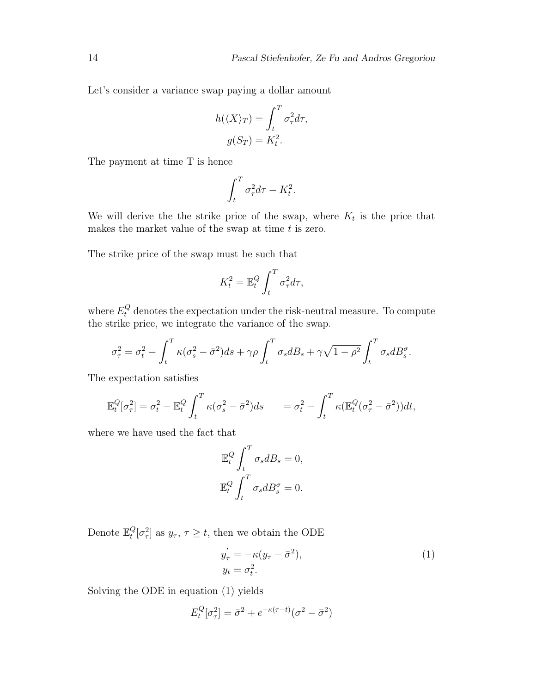Let's consider a variance swap paying a dollar amount

$$
h(\langle X \rangle_T) = \int_t^T \sigma_\tau^2 d\tau,
$$
  

$$
g(S_T) = K_t^2.
$$

The payment at time T is hence

$$
\int_t^T \sigma_\tau^2 d\tau - K_t^2.
$$

We will derive the the strike price of the swap, where  $K_t$  is the price that makes the market value of the swap at time  $t$  is zero.

The strike price of the swap must be such that

$$
K_t^2 = \mathbb{E}_t^Q \int_t^T \sigma_\tau^2 d\tau,
$$

where  $E_t^Q$  denotes the expectation under the risk-neutral measure. To compute the strike price, we integrate the variance of the swap.

$$
\sigma_{\tau}^{2} = \sigma_{t}^{2} - \int_{t}^{T} \kappa (\sigma_{s}^{2} - \bar{\sigma}^{2}) ds + \gamma \rho \int_{t}^{T} \sigma_{s} dB_{s} + \gamma \sqrt{1 - \rho^{2}} \int_{t}^{T} \sigma_{s} dB_{s}^{\sigma}.
$$

The expectation satisfies

$$
\mathbb{E}_t^Q[\sigma_\tau^2] = \sigma_t^2 - \mathbb{E}_t^Q \int_t^T \kappa(\sigma_s^2 - \bar{\sigma}^2) ds = \sigma_t^2 - \int_t^T \kappa(\mathbb{E}_t^Q(\sigma_\tau^2 - \bar{\sigma}^2)) dt,
$$

where we have used the fact that

$$
\mathbb{E}_t^Q \int_t^T \sigma_s dB_s = 0,
$$
  

$$
\mathbb{E}_t^Q \int_t^T \sigma_s dB_s^{\sigma} = 0.
$$

Denote  $\mathbb{E}_t^Q$  $t^Q_t[\sigma^2_{\tau}]$  as  $y_{\tau}$ ,  $\tau \geq t$ , then we obtain the ODE

$$
y'_{\tau} = -\kappa (y_{\tau} - \bar{\sigma}^2),
$$
  
\n
$$
y_t = \sigma_t^2.
$$
\n(1)

Solving the ODE in equation (1) yields

$$
E_t^Q[\sigma_\tau^2] = \bar{\sigma}^2 + e^{-\kappa(\tau - t)}(\sigma^2 - \bar{\sigma}^2)
$$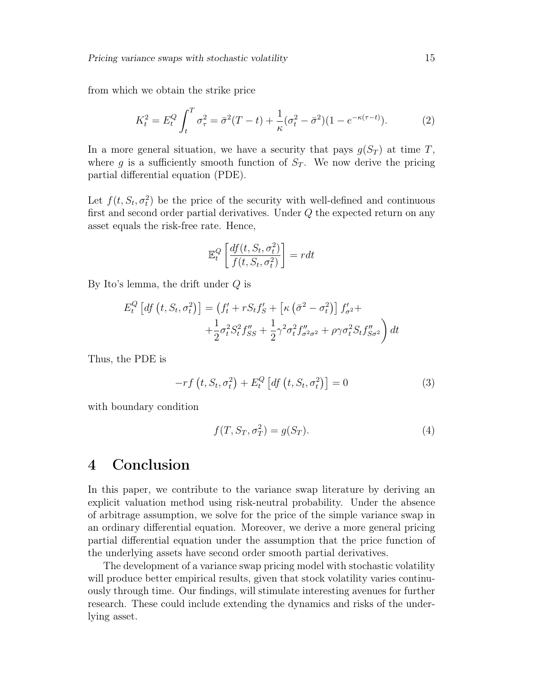from which we obtain the strike price

$$
K_t^2 = E_t^Q \int_t^T \sigma_\tau^2 = \bar{\sigma}^2 (T - t) + \frac{1}{\kappa} (\sigma_t^2 - \bar{\sigma}^2)(1 - e^{-\kappa(\tau - t)}).
$$
 (2)

In a more general situation, we have a security that pays  $g(S_T)$  at time T, where g is a sufficiently smooth function of  $S_T$ . We now derive the pricing partial differential equation (PDE).

Let  $f(t, S_t, \sigma_t^2)$  be the price of the security with well-defined and continuous first and second order partial derivatives. Under Q the expected return on any asset equals the risk-free rate. Hence,

$$
\mathbb{E}_{t}^{Q}\left[\frac{df(t, S_{t}, \sigma_{t}^{2})}{f(t, S_{t}, \sigma_{t}^{2})}\right] = rdt
$$

By Ito's lemma, the drift under Q is

$$
E_t^Q \left[ df \left( t, S_t, \sigma_t^2 \right) \right] = \left( f_t' + r S_t f_s' + \left[ \kappa \left( \bar{\sigma}^2 - \sigma_t^2 \right) \right] f_{\sigma^2}' + \\ + \frac{1}{2} \sigma_t^2 S_t^2 f_{SS}'' + \frac{1}{2} \gamma^2 \sigma_t^2 f_{\sigma^2 \sigma^2}'' + \rho \gamma \sigma_t^2 S_t f_{S \sigma^2}'' \right) dt
$$

Thus, the PDE is

$$
-rf(t, S_t, \sigma_t^2) + E_t^Q \left[ df(t, S_t, \sigma_t^2) \right] = 0 \tag{3}
$$

with boundary condition

$$
f(T, S_T, \sigma_T^2) = g(S_T). \tag{4}
$$

## 4 Conclusion

In this paper, we contribute to the variance swap literature by deriving an explicit valuation method using risk-neutral probability. Under the absence of arbitrage assumption, we solve for the price of the simple variance swap in an ordinary differential equation. Moreover, we derive a more general pricing partial differential equation under the assumption that the price function of the underlying assets have second order smooth partial derivatives.

The development of a variance swap pricing model with stochastic volatility will produce better empirical results, given that stock volatility varies continuously through time. Our findings, will stimulate interesting avenues for further research. These could include extending the dynamics and risks of the underlying asset.